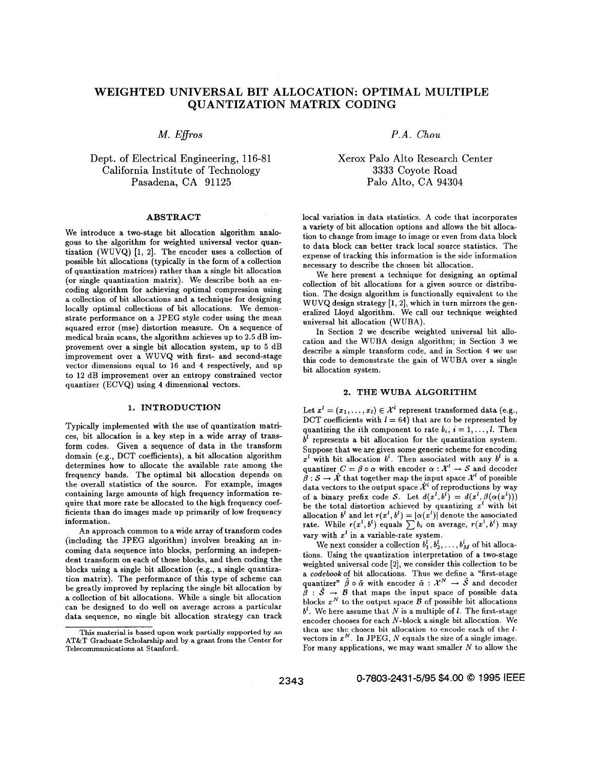# **WEIGHTED UNIVERSAL BIT ALLOCATION: OPTIMAL MULTIPLE QUANTIZATION MATRIX CODING**

## Dept. of Electrical Engineering, 116-81 California Institute of Technology Pasadena, CA 91125 Palo Alto, **CA 94304**

We introduce a two-stage bit allocation algorithm analogous to the algorithm for weighted universal vector quanpossible bit allocations (typically in the form of a collection of quantization matrices) rather than a single bit allocation tization (WUVQ) [1, 2]. The encoder uses a collection of expense of tracking this information is the side information (or single quantization matrix). We describe both an en-(or single quantization matrix). We describe both all en-<br>coding algorithm for achieving optimal compression using the design algorithm is functionally conjugant to the tion. The design algorithm is functionally equivalent to the a collection of bit allocations and a technique for designing  $W_{\text{UVO}}$  design attaction of bit allocations and a technique for designing  $W_{\text{UVO}}$  design att locally optimal collections of bit allocations. We demonstrate performance on a JPEG style coder using the mean squared error (mse) distortion measure. On a sequence of medical brain scans, the algorithm achieves up to **2.5** dB improvement over a single bit allocation system, up to  $5 \text{ dB}$  improvement over a WUVQ with first- and second-stage provement over a single on anocation system, up to 3 db<br>improvement over a WUVQ with first- and second-stage<br>vector dimensions equal to 16 and 4 respectively, and up<br>his code to demonstrate the gain of WUBA over a single<br>i vector dimensions equal to 10 and 4 respectively, and up bit allocation system.<br>to 12 dB improvement over an entropy constrained vector quantizer (ECVQ) using **4** dimensional vectors.

### **1. INTRODUCTION**

Typically implemented with the use of quantization matrices, bit allocation is a key step in a wide array of transform codes. Given a sequence of data in the transform domain (e.g., DCT coefficients), a bit allocation algorithm determines how to allocate the available rate among the frequency bands. The optimal bit allocation depends on the overall statistics of the source. For example, images containing large amounts of high frequency information require that more rate be allocated to the high frequency coefficients than do images made up primarily of low frequency information.

An approach common to a wide array of transform codes (including the JPEG algorithm) involves breaking an incoming data sequence into blocks, performing an independent transform on each of those blocks, and then coding the blocks using a single bit allocation (e.g., a single quantization matrix). The performance of this type **of** scheme can be greatly improved by replacing the single bit allocation by a collection of bit allocations. While a single bit allocation can be designed to do well on average across a particular data sequence, no single bit allocation strategy can track

*M. E\$ros P.A. Chou* 

Xerox Palo Alto Research Center **3333** Coyote Road

**ABSTRACT** local variation in data statistics. A code that incorporates a variety of bit allocation options and allows the bit allocation to change from image to image or even from data block to data block can better track local source statistics. The necessary to describe the chosen bit allocation.

> We here present a technique for designing an optimal wuvQ design strategy eralized Lloyd universal bit allocation (WUBA). *a],* which in turn mirrors the gen-we call our technique weighted

> cation and the WUBA design algorithm; in Section In Section **2** we describe weighted universal bit allothis code to demonstrate the gain of WUBA over a single bit allocation system.

### **2. THE WUBA ALGORITHM**

Let  $x^l = (x_1, \ldots, x_l) \in \mathcal{X}^l$  represent transformed data (e.g., DCT coefficients with  $l = 64$ ) that are to be represented by quantizing the *i*th component to rate  $b_i$ ,  $i = 1, \ldots, l$ . Then represents a bit allocation for the quantization system. Suppose that we are given some generic scheme for encoding  $x<sup>l</sup>$  with bit allocation  $b<sup>l</sup>$ . Then associated with any  $b<sup>l</sup>$  is a quantizer  $C = \beta \circ \alpha$  with encoder  $\alpha : \mathcal{X}^l \to \mathcal{S}$  and decoder  $\hat{\beta}: \mathcal{S} \to \hat{\mathcal{X}}$  that together map the input space  $\mathcal{X}^l$  of possible data vectors to the output space  $\hat{\mathcal{X}}^l$  of reproductions by way of a binary prefix code *S*. Let  $d(x^l, b^l) = d(x^l, \beta(\alpha(x^l)))$ be the total distortion achieved by quantizing  $x^{i}$  with bit allocation  $b^l$  and let  $r(x^l, b^l) = |\alpha(x^l)|$  denote the associated rate. While  $r(x^l, b^l)$  equals  $\sum b_i$  on average,  $r(x^l, b^l)$  may vary with  $x^l$  in a variable-rate system.

We next consider a collection  $b_1^l, b_2^l, \ldots, b_M^l$  of bit allocations. Using the quantization interpretation of a two-stage weighted universal code **[2],** we consider this collection to be a *codebook* of bit allocations. Thus we define a "first-stage quantizer"  $\tilde{\beta} \circ \tilde{\alpha}$  with encoder  $\tilde{\alpha}$ :  $\mathcal{X}^N \to \tilde{\mathcal{S}}$  and decoder  $\tilde{\beta}$  :  $\tilde{\mathcal{S}} \rightarrow \mathcal{B}$  that maps the input space of possible data blocks  $x^N$  to the output space  $B$  of possible bit allocations  $b^l$ . We here assume that *N* is a multiple of *l*. The first-stage encoder chooses for each N-block a single bit allocation. We then use the chosen **bit** allocation **to encode** each **of** the *I*vectors in  $x^N$ . In JPEG, N equals the size of a single image. For many applications, we may want smaller  $N$  to allow the

**2343 0-7803-2431** *4/95 \$4.00 0* 1995 IEEE

This material is based upon work partially supported by an **AT&T Graduate** Scholarship **and by a grant from** the **Center for Telecommunications at** Stanford.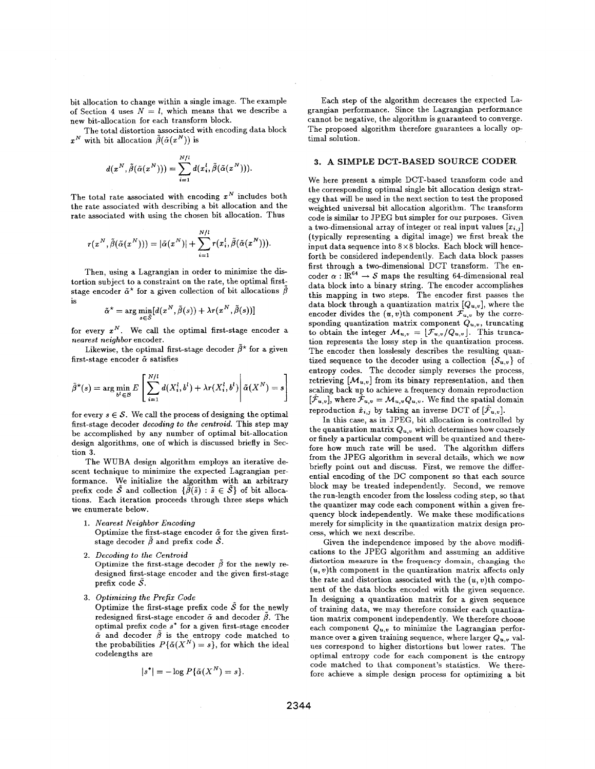bit allocation to change within a single image. The example of Section 4 uses  $N = l$ , which means that we describe a new bit-allocation for each transform block.

The total distortion associated with encoding data block  $x^N$  with bit allocation  $\tilde{\beta}(\tilde{\alpha}(x^N))$  is

$$
d(x^N, \tilde{\beta}(\tilde{\alpha}(x^N))) = \sum_{i=1}^{N/l} d(x_i^l, \tilde{\beta}(\tilde{\alpha}(x^N))).
$$

The total rate associated with encoding  $x^N$  includes both the rate associated with describing a bit allocation and the rate associated with using the chosen bit allocation. Thus

$$
r(x^N, \tilde{\beta}(\tilde{\alpha}(x^N))) = |\tilde{\alpha}(x^N)| + \sum_{i=1}^{N/l} r(x_i^l, \tilde{\beta}(\tilde{\alpha}(x^N))).
$$

Then, using a Lagrangian in order to minimize the **dis**tortion subject to a constraint on the rate, the optimal firststage encoder  $\tilde{\alpha}^*$  for a given collection of bit allocations  $\tilde{\beta}$  is

$$
\tilde{\alpha}^* = \arg\min_{s \in \tilde{S}} [d(x^N, \tilde{\beta}(s)) + \lambda r(x^N, \tilde{\beta}(s))]
$$

for every  $x^N$ . We call the optimal first-stage encoder a *nearest neighbor* encoder.

first-stage encoder & satisfies Likewise, the optimal first-stage decoder  $\tilde{\beta}^*$  for a given

$$
\tilde{\beta}^{\star}(s) = \arg\min_{b^l \in \mathcal{B}} E\left[\sum_{i=1}^{N/l} d(X_i^l, b^l) + \lambda r(X_i^l, b^l)\middle|\tilde{\alpha}(X^N) = s\right]
$$

for every  $s \in \mathcal{S}$ . We call the process of designing the optimal first-stage decoder *decoding to the centroid.* This step may be accomplished by any number of optimal bit-allocation design algorithms, one of which is discussed briefly in Section **3.** 

The WUBA design algorithm employs an iterative descent technique to minimize the expected Lagrangian performance. We initialize the algorithm with **an** arbitrary prefix code  $\tilde{S}$  and collection  $\{\tilde{\beta}(\tilde{s}) : \tilde{s} \in \tilde{S}\}\)$  of bit allocations. Each iteration proceeds through three steps which we enumerate below.

- 1. *Nearest Neighbor Encoding*  Optimize the first-stage encoder  $\tilde{\alpha}$  for the given firststage decoder  $\tilde{\beta}$  and prefix code  $\tilde{S}$ .
- Optimize the first-stage decoder  $\tilde{\beta}$  for the newly redesigned first-stage encoder and the given first-stage prefix code *S. 2. Decoding to the Centroid*
- *3. Optimizing the Prefix Code*

Optimize the first-stage prefix code  $\bar{S}$  for the newly redesigned first-stage encoder  $\tilde{\alpha}$  and decoder  $\beta$ . The optimal prefix **code** *s\** for **a** given first-stage encoder  $\tilde{\alpha}$  and decoder  $\tilde{\beta}$  is the entropy code matched to the probabilities  $P\{\tilde{\alpha}(X^N) = s\}$ , for which the ideal codelengths are

$$
|s^*| = -\log P\{\tilde{\alpha}(X^N) = s\}.
$$

Each step of the algorithm decreases the expected Lagrangian performance. Since the Lagrangian performance cannot be negative, the algorithm is guaranteed to converge. The proposed algorithm therefore guarantees a locally optimal solution.

### **3. A SIMPLE DCT-BASED SOURCE CODER**

We here present a simple DCT-based transform code and the corresponding optimal single bit allocation design strategy that will be used in the next section to test the proposed weighted universal bit allocation algorithm. The transform code is similar to JPEG but simpler for our purposes. Given a two-dimensional array of integer or real input values  $[x_{i,j}]$ (typically representing a digital image) we first break the input data sequence into  $8 \times 8$  blocks. Each block will henceforth be considered independently. Each data block passes first through a two-dimensional DCT transform. The encoder  $\alpha$ :  $\mathbb{R}^{64} \rightarrow S$  maps the resulting 64-dimensional real data block into a binary string. The encoder accomplishes this mapping in two steps. The encoder first passes the data block through a quantization matrix *[Qu,w],* where the encoder divides the  $(u, v)$ th component  $\mathcal{F}_{u, v}$  by the corresponding quantization matrix component  $Q_{u,v}$ , truncating to obtain the integer  $M_{u,v} = [\mathcal{F}_{u,v}/Q_{u,v}]$ . This truncation represents the lossy step in the quantization process. The encoder then losslessly describes the resulting quantized sequence to the decoder using a collection  $\{S_{u,v}\}\$  of entropy codes. The decoder simply reverses the process, retrieving  $[\mathcal{M}_{u,v}]$  from its binary representation, and then scaling back up to achieve a frequency domain reproduction  $[\hat{\mathcal{F}}_{u,v}]$ , where  $\hat{\mathcal{F}}_{u,v} = \mathcal{M}_{u,v} Q_{u,v}$ . We find the spatial domain reproduction  $\hat{x}_{i,j}$  by taking an inverse DCT of  $[\hat{\mathcal{F}}_{u,v}]$ .

In this case, as in JPEG, bit allocation is controlled by the quantization matrix  $Q_{u,v}$  which determines how coarsely or finely a particular component will be quantized and therefore how much rate will be used. The algorithm differs from the JPEG algorithm in several details, which we now briefly point out and discuss. First, we remove the differential encoding of the DC component *so* that each source block may be treated independently. Second, we remove the run-length encoder from the lossless coding step, so that the quantizer may code each component within a given frequency block independently. We make these modifications merely for simplicity in the quantization matrix design process, which we next describe.

Given the independence imposed by the above modifications to the JPEG algorithm and assuming an additive *(a,* v)th component in the quantization matrix affects only the rate and distortion associated with the  $(u, v)$ th component of the data blocks encoded with the given sequence. In designing a quantization matrix for a given sequence of training data, we may therefore consider each quantization matrix component independently. We therefore choose each component  $Q_{u,v}$  to minimize the Lagrangian performance over a given training sequence, where larger  $Q_{u,v}$  values correspond to higher distortions but lower rates. The optimal entropy code for each component is the entropy code matched to that component's statistics. We therefore achieve a simple design process for optimizing a bit **distortion measure in the frequency domain, changing the**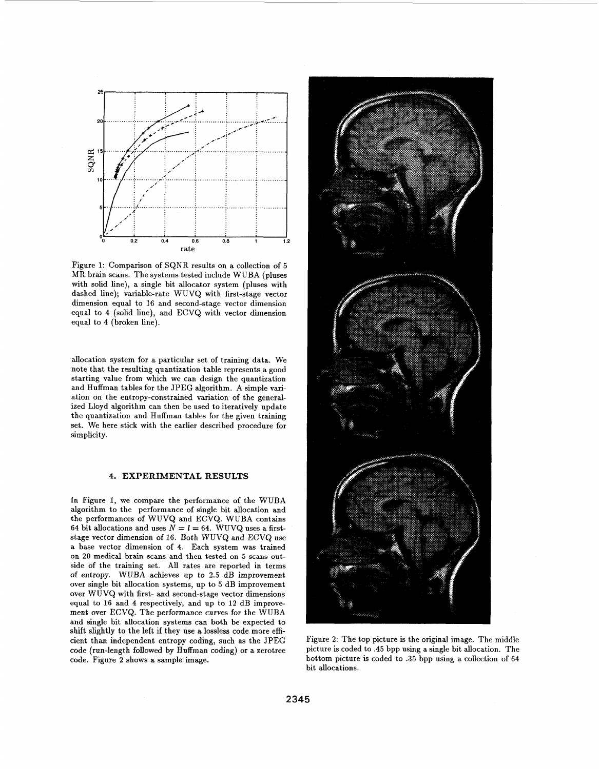

Figure **1:** Comparison of SQNR results on a collection of *<sup>5</sup>* MR brain scans. The systems tested include WUBA (pluses with solid line), a single bit allocator system (pluses with dashed line); variable-rate WUVQ with first-stage vector dimension equal to **16** and second-stage vector dimension equal to **4** (solid line), and ECVQ with vector dimension equal to **4** (broken line).

allocation system for a particular set of training data. We note that the resulting quantization table represents a good starting value from which we can design the quantization and Huffman tables for the JPEG algorithm. A simple variation on the entropy-constrained variation of the generalized Lloyd algorithm can then be used to iteratively update the quantization and Huffman tables for the given training set. We here stick with the earlier described procedure for simplicity.

## **4. EXPERIMENTAL RESULTS**

In Figure I, we compare the performance of the WUBA algorithm to the performance of single bit allocation and the performances of WUVQ and ECVQ. WUBA contains 64 bit allocations and uses  $N = l = 64$ . WUVQ uses a firststage vector dimension of **16.** Both WUVQ and ECVQ use a base vector dimension of **4.** Each system was trained on **20** medical brain scans and then tested on *5* scans outside of the training set. All rates are reported in terms of entropy. WUBA achieves up to **2.5** dB improvement over single bit allocation systems, up to 5 dB improvement over WUVQ with first- and second-stage vector dimensions equal to **16** and **4** respectively, and up to **12** dB improvement over ECVQ. The performance curves for the WUBA and single bit allocation systems can both be expected to shift slightly to the left if they use a lossless code more efficient than independent entropy coding, such **as** the JPEG code (run-length followed by Huffman coding) or a zerotree code. Figure **2** shows a sample image.



Figure **2:** The top picture is the original image. The middle picture is coded to **.45** bpp using a single bit allocation. The bottom picture is coded to **.35** bpp using a collection of **64**  bit allocations.